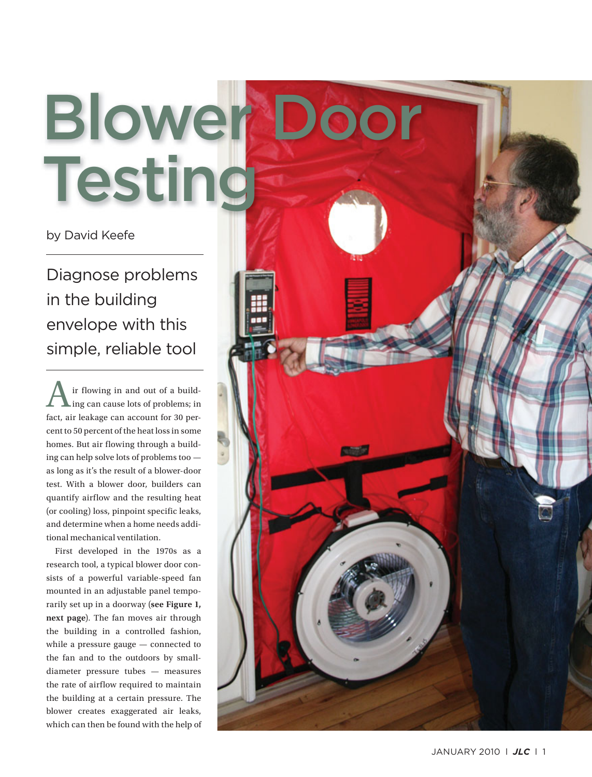# Blower Door **Testing**

by David Keefe

Diagnose problems in the building envelope with this simple, reliable tool

A ir flowing in and out of a build-<br>ing can cause lots of problems; in fact, air leakage can account for 30 percent to 50 percent of the heat loss in some homes. But air flowing through a building can help solve lots of problems too as long as it's the result of a blower-door test. With a blower door, builders can quantify airflow and the resulting heat (or cooling) loss, pinpoint specific leaks, and determine when a home needs additional mechanical ventilation.

 First developed in the 1970s as a research tool, a typical blower door consists of a powerful variable-speed fan mounted in an adjustable panel temporarily set up in a doorway (see Figure 1, next page). The fan moves air through the building in a controlled fashion, while a pressure gauge — connected to the fan and to the outdoors by smalldiameter pressure tubes — measures the rate of airflow required to maintain the building at a certain pressure. The blower creates exaggerated air leaks, which can then be found with the help of

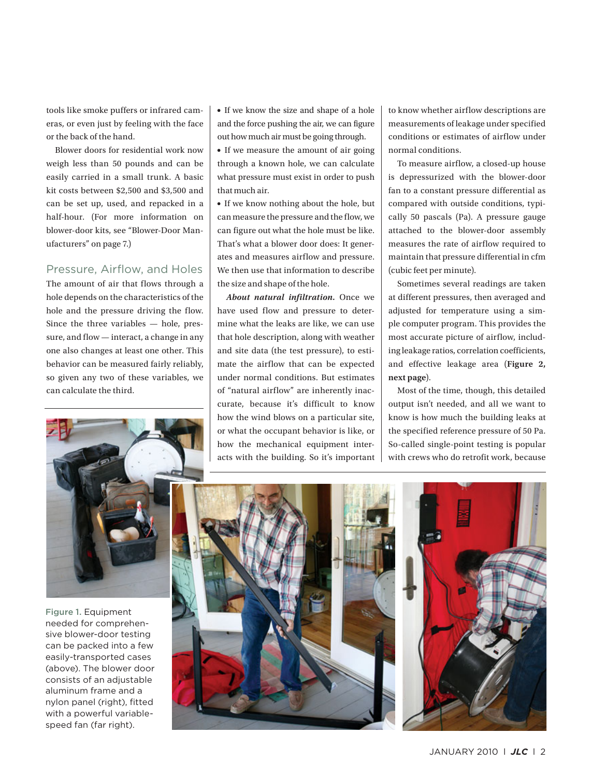tools like smoke puffers or infrared cameras, or even just by feeling with the face or the back of the hand.

 Blower doors for residential work now weigh less than 50 pounds and can be easily carried in a small trunk. A basic kit costs between \$2,500 and \$3,500 and can be set up, used, and repacked in a half-hour. (For more information on blower-door kits, see "Blower-Door Manufacturers" on page 7.)

#### Pressure, Airflow, and Holes

 The amount of air that flows through a hole depends on the characteristics of the hole and the pressure driving the flow. Since the three variables — hole, pressure, and flow — interact, a change in any one also changes at least one other. This behavior can be measured fairly reliably, so given any two of these variables, we can calculate the third.

• If we know the size and shape of a hole and the force pushing the air, we can figure out how much air must be going through.

• If we measure the amount of air going through a known hole, we can calculate what pressure must exist in order to push that much air.

• If we know nothing about the hole, but can measure the pressure and the flow, we can figure out what the hole must be like. That's what a blower door does: It generates and measures airflow and pressure. We then use that information to describe the size and shape of the hole.

 *About natural infiltration.* Once we have used flow and pressure to determine what the leaks are like, we can use that hole description, along with weather and site data (the test pressure), to estimate the airflow that can be expected under normal conditions. But estimates of "natural airflow" are inherently inaccurate, because it's difficult to know how the wind blows on a particular site, or what the occupant behavior is like, or how the mechanical equipment interacts with the building. So it's important to know whether airflow descriptions are measurements of leakage under specified conditions or estimates of airflow under normal conditions.

 To measure airflow, a closed-up house is depressurized with the blower-door fan to a constant pressure differential as compared with outside conditions, typically 50 pascals (Pa). A pressure gauge attached to the blower-door assembly measures the rate of airflow required to maintain that pressure differential in cfm (cubic feet per minute).

 Sometimes several readings are taken at different pressures, then averaged and adjusted for temperature using a simple computer program. This provides the most accurate picture of airflow, including leakage ratios, correlation coefficients, and effective leakage area ( **Figure 2, next page** ).

 Most of the time, though, this detailed output isn't needed, and all we want to know is how much the building leaks at the specified reference pressure of 50 Pa. So-called single-point testing is popular with crews who do retrofit work, because



Figure 1. Equipment needed for comprehensive blower-door testing can be packed into a few easily-transported cases (above). The blower door consists of an adjustable aluminum frame and a nylon panel (right), fitted with a powerful variablespeed fan (far right).

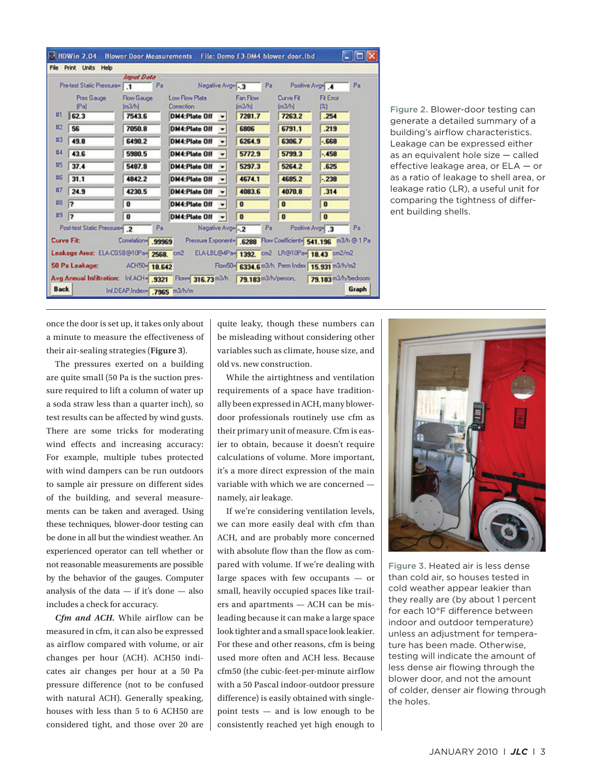|    | Pre-test Static Pressure=          | <b>Input Data</b><br>Pa<br>$\cdot$ 1 | Negative Avg- -. 3                                             | Pa                                            |                     | Positive Avg <sup>-1</sup> .4 | Pa |
|----|------------------------------------|--------------------------------------|----------------------------------------------------------------|-----------------------------------------------|---------------------|-------------------------------|----|
|    | Pres Gauge<br>[Pa]                 | <b>Flow Gauge</b><br>[m3/h]          | Low Flow Plate<br>Correction                                   | Fan Flow<br>[m3/h]                            | Curve Fit<br>[m3/h] | <b>Fit Error</b><br>$^{(2)}$  |    |
| Ħ  | 62.3                               | 7543.6                               | <b>DM4:Plate Off</b>                                           | 7281.7                                        | 7263.2              | .254                          |    |
| #2 | 56                                 | 7050.8                               | <b>DM4:Plate Off</b><br>$\blacksquare$                         | 6806                                          | 6791.1              | .219                          |    |
| #3 | 49.8                               | 6490.2                               | <b>DM4:Plate Off</b><br>۰                                      | 6264.9                                        | 6306.7              | $-668$                        |    |
| #4 | 43.6                               | 5980.5                               | <b>DM4:Plate Off</b><br>۰                                      | 5772.9                                        | 5799.3              | $-458$                        |    |
| #5 | 37.4                               | 5487.8                               | <b>DM4:Plate Off</b><br>۰                                      | 5297.3                                        | 5264.2              | .625                          |    |
| #6 | 31.1                               | 4842.2                               | <b>DM4:Plate Off</b><br>٠                                      | 4674.1                                        | 4685.2              | $-238$                        |    |
| #7 | 24.9                               | 4230.5                               | <b>DM4:Plate Off</b><br>٠                                      | 4083.6                                        | 4070.8              | .314                          |    |
| #8 | 17                                 | 0                                    | <b>DM4:Plate Off</b><br>۰                                      | $\bf{0}$                                      | $\bf{0}$            | $\bf{0}$                      |    |
| #9 | 12                                 | 0                                    | <b>DM4:Plate Off</b>                                           | $\bf{0}$                                      | $\bf{a}$            | $\bf{0}$                      |    |
|    | Post-test Static Pressure= .2      | Pa                                   | Negative Avg-1-2                                               | Pa                                            |                     | Positive Avg <sup>-1</sup> .3 | Pa |
|    | <b>Curve Fit:</b>                  | Correlation- 99969                   | Pressure Exponent= .6288 Flow Coefficient= 541.196 m3/h @ 1 Pa |                                               |                     |                               |    |
|    | Leakage Area: ELA-CGSB@10Pa= 2568. |                                      | cm <sub>2</sub>                                                | ELA-LBL@4Pa= 1392. cm2 LR@10Pa= 18.43 cm2/m2  |                     |                               |    |
|    | 50 Pa Leakage:                     | ACH50- 18.642                        |                                                                | Flow50- 6334.6 m3/h Perm Index 15.931 m3/h/m2 |                     |                               |    |

Figure 2. Blower-door testing can generate a detailed summary of a building's airflow characteristics. Leakage can be expressed either as an equivalent hole size — called effective leakage area, or ELA — or as a ratio of leakage to shell area, or leakage ratio (LR), a useful unit for comparing the tightness of different building shells.

once the door is set up, it takes only about a minute to measure the effectiveness of their air-sealing strategies ( **Figure 3** ).

 The pressures exerted on a building are quite small (50 Pa is the suction pressure required to lift a column of water up a soda straw less than a quarter inch), so test results can be affected by wind gusts. There are some tricks for moderating wind effects and increasing accuracy: For example, multiple tubes protected with wind dampers can be run outdoors to sample air pressure on different sides of the building, and several measurements can be taken and averaged. Using these techniques, blower-door testing can be done in all but the windiest weather. An experienced operator can tell whether or not reasonable measurements are possible by the behavior of the gauges. Computer analysis of the data — if it's done — also includes a check for accuracy.

 *Cfm and ACH.* While airflow can be measured in cfm, it can also be expressed as airflow compared with volume, or air changes per hour (ACH). ACH50 indicates air changes per hour at a 50 Pa pressure difference (not to be confused with natural ACH). Generally speaking, houses with less than 5 to 6 ACH50 are considered tight, and those over 20 are quite leaky, though these numbers can be misleading without considering other variables such as climate, house size, and old vs. new construction.

 While the airtightness and ventilation requirements of a space have traditionally been expressed in ACH, many blowerdoor professionals routinely use cfm as their primary unit of measure. Cfm is easier to obtain, because it doesn't require calculations of volume. More important, it's a more direct expression of the main variable with which we are concerned namely, air leakage.

 If we're considering ventilation levels, we can more easily deal with cfm than ACH, and are probably more concerned with absolute flow than the flow as compared with volume. If we're dealing with large spaces with few occupants — or small, heavily occupied spaces like trailers and apartments — ACH can be misleading because it can make a large space look tighter and a small space look leakier. For these and other reasons, cfm is being used more often and ACH less. Because cfm50 (the cubic-feet-per-minute airflow with a 50 Pascal indoor-outdoor pressure difference) is easily obtained with singlepoint tests — and is low enough to be consistently reached yet high enough to



Figure 3. Heated air is less dense than cold air, so houses tested in cold weather appear leakier than they really are (by about 1 percent for each 10°F difference between indoor and outdoor temperature) unless an adjustment for temperature has been made. Otherwise, testing will indicate the amount of less dense air flowing through the blower door, and not the amount of colder, denser air flowing through the holes.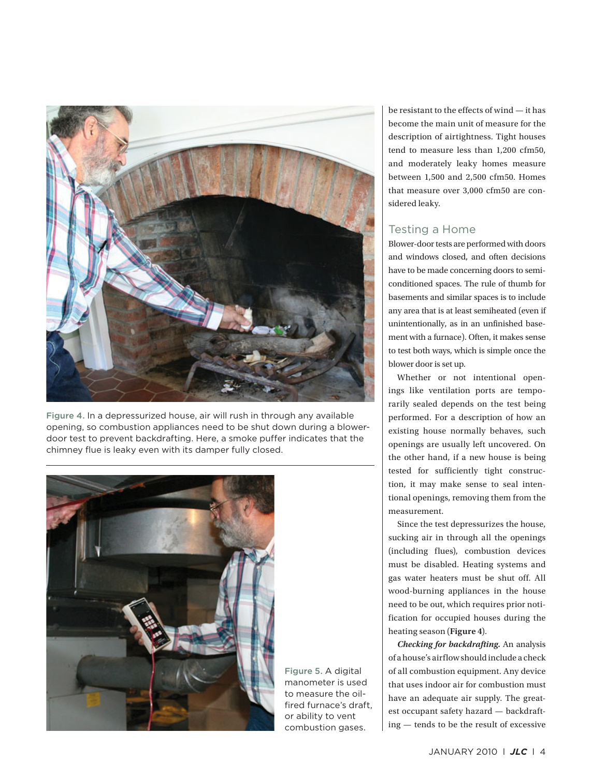

Figure 4. In a depressurized house, air will rush in through any available opening, so combustion appliances need to be shut down during a blowerdoor test to prevent backdrafting. Here, a smoke puffer indicates that the chimney flue is leaky even with its damper fully closed.



Figure 5. A digital manometer is used to measure the oilfired furnace's draft, or ability to vent combustion gases.

be resistant to the effects of wind — it has become the main unit of measure for the description of airtightness. Tight houses tend to measure less than 1,200 cfm50, and moderately leaky homes measure between 1,500 and 2,500 cfm50. Homes that measure over 3,000 cfm50 are considered leaky.

#### Testing a Home

 Blower-door tests are performed with doors and windows closed, and often decisions have to be made concerning doors to semiconditioned spaces. The rule of thumb for basements and similar spaces is to include any area that is at least semiheated (even if unintentionally, as in an unfinished basement with a furnace). Often, it makes sense to test both ways, which is simple once the blower door is set up.

 Whether or not intentional openings like ventilation ports are temporarily sealed depends on the test being performed. For a description of how an existing house normally behaves, such openings are usually left uncovered. On the other hand, if a new house is being tested for sufficiently tight construction, it may make sense to seal intentional openings, removing them from the measurement.

 Since the test depressurizes the house, sucking air in through all the openings (including flues), combustion devices must be disabled. Heating systems and gas water heaters must be shut off. All wood-burning appliances in the house need to be out, which requires prior notification for occupied houses during the heating season (Figure 4).

 *Checking for backdrafting.* An analysis of a house's airflow should include a check of all combustion equipment. Any device that uses indoor air for combustion must have an adequate air supply. The greatest occupant safety hazard — backdrafting — tends to be the result of excessive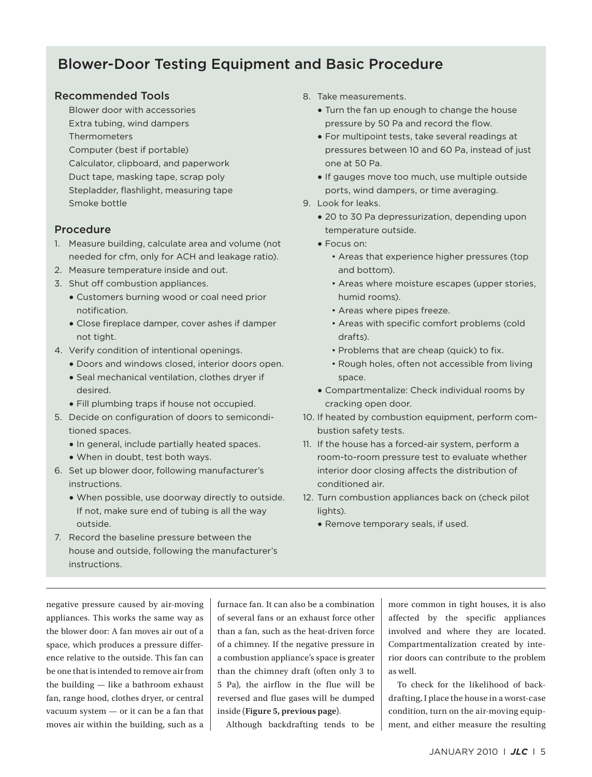# Blower-Door Testing Equipment and Basic Procedure

### Recommended Tools

Blower door with accessories Extra tubing, wind dampers Thermometers Computer (best if portable) Calculator, clipboard, and paperwork Duct tape, masking tape, scrap poly Stepladder, flashlight, measuring tape Smoke bottle

#### Procedure

- 1. Measure building, calculate area and volume (not needed for cfm, only for ACH and leakage ratio).
- 2. Measure temperature inside and out.
- 3. Shut off combustion appliances.
	- Customers burning wood or coal need prior notification.
	- Close fireplace damper, cover ashes if damper not tight.
- 4. Verify condition of intentional openings.
	- Doors and windows closed, interior doors open.
	- Seal mechanical ventilation, clothes dryer if desired.
	- Fill plumbing traps if house not occupied.
- 5. Decide on configuration of doors to semiconditioned spaces.
	- In general, include partially heated spaces.
	- When in doubt, test both ways.
- 6. Set up blower door, following manufacturer's instructions.
	- When possible, use doorway directly to outside. If not, make sure end of tubing is all the way outside.
- 7. Record the baseline pressure between the house and outside, following the manufacturer's instructions.
- 8. Take measurements.
	- Turn the fan up enough to change the house pressure by 50 Pa and record the flow.
	- For multipoint tests, take several readings at pressures between 10 and 60 Pa, instead of just one at 50 Pa.
	- If gauges move too much, use multiple outside ports, wind dampers, or time averaging.
- 9. Look for leaks.
	- 20 to 30 Pa depressurization, depending upon temperature outside.
	- Focus on:
		- Areas that experience higher pressures (top and bottom).
		- Areas where moisture escapes (upper stories, humid rooms).
		- Areas where pipes freeze.
		- Areas with specific comfort problems (cold drafts).
		- Problems that are cheap (quick) to fix.
		- Rough holes, often not accessible from living space.
	- Compartmentalize: Check individual rooms by cracking open door.
- 10. If heated by combustion equipment, perform combustion safety tests.
- 11. If the house has a forced-air system, perform a room-to-room pressure test to evaluate whether interior door closing affects the distribution of conditioned air.
- 12. Turn combustion appliances back on (check pilot lights).
	- Remove temporary seals, if used.

negative pressure caused by air-moving appliances. This works the same way as the blower door: A fan moves air out of a space, which produces a pressure difference relative to the outside. This fan can be one that is intended to remove air from the building — like a bathroom exhaust fan, range hood, clothes dryer, or central vacuum system — or it can be a fan that moves air within the building, such as a furnace fan. It can also be a combination of several fans or an exhaust force other than a fan, such as the heat-driven force of a chimney. If the negative pressure in a combustion appliance's space is greater than the chimney draft (often only 3 to 5 Pa), the airflow in the flue will be reversed and flue gases will be dumped inside ( **Figure 5, previous page** ).

Although backdrafting tends to be

more common in tight houses, it is also affected by the specific appliances involved and where they are located. Compartmentalization created by interior doors can contribute to the problem as well.

 To check for the likelihood of backdrafting, I place the house in a worst-case condition, turn on the air-moving equipment, and either measure the resulting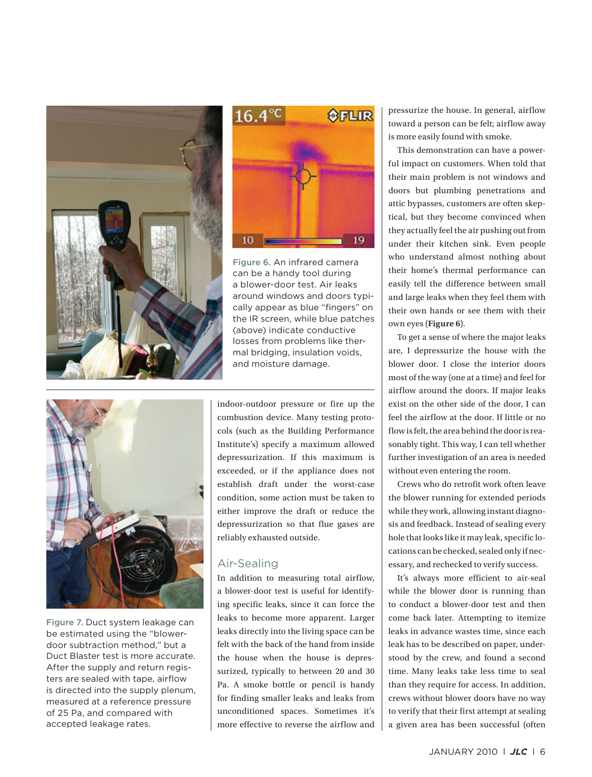



Figure 6. An infrared camera can be a handy tool during a blower-door test. Air leaks around windows and doors typically appear as blue "fingers" on the IR screen, while blue patches (above) indicate conductive losses from problems like thermal bridging, insulation voids, and moisture damage.



Figure 7. Duct system leakage can be estimated using the "blowerdoor subtraction method," but a Duct Blaster test is more accurate. After the supply and return registers are sealed with tape, airflow is directed into the supply plenum, measured at a reference pressure of 25 Pa, and compared with accepted leakage rates.

indoor-outdoor pressure or fire up the combustion device. Many testing protocols (such as the Building Performance Institute's) specify a maximum allowed depressurization. If this maximum is exceeded, or if the appliance does not establish draft under the worst-case condition, some action must be taken to either improve the draft or reduce the depressurization so that flue gases are reliably exhausted outside.

# Air-Sealing

 In addition to measuring total airflow, a blower-door test is useful for identifying specific leaks, since it can force the leaks to become more apparent. Larger leaks directly into the living space can be felt with the back of the hand from inside the house when the house is depressurized, typically to between 20 and 30 Pa. A smoke bottle or pencil is handy for finding smaller leaks and leaks from unconditioned spaces. Sometimes it's more effective to reverse the airflow and

pressurize the house. In general, airflow toward a person can be felt; airflow away is more easily found with smoke.

 This demonstration can have a powerful impact on customers. When told that their main problem is not windows and doors but plumbing penetrations and attic bypasses, customers are often skeptical, but they become convinced when they actually feel the air pushing out from under their kitchen sink. Even people who understand almost nothing about their home's thermal performance can easily tell the difference between small and large leaks when they feel them with their own hands or see them with their own eyes ( **Figure 6** ).

 To get a sense of where the major leaks are, I depressurize the house with the blower door. I close the interior doors most of the way (one at a time) and feel for airflow around the doors. If major leaks exist on the other side of the door, I can feel the airflow at the door. If little or no flow is felt, the area behind the door is reasonably tight. This way, I can tell whether further investigation of an area is needed without even entering the room.

 Crews who do retrofit work often leave the blower running for extended periods while they work, allowing instant diagnosis and feedback. Instead of sealing every hole that looks like it may leak, specific locations can be checked, sealed only if necessary, and rechecked to verify success.

 It's always more efficient to air-seal while the blower door is running than to conduct a blower-door test and then come back later. Attempting to itemize leaks in advance wastes time, since each leak has to be described on paper, understood by the crew, and found a second time. Many leaks take less time to seal than they require for access. In addition, crews without blower doors have no way to verify that their first attempt at sealing a given area has been successful (often